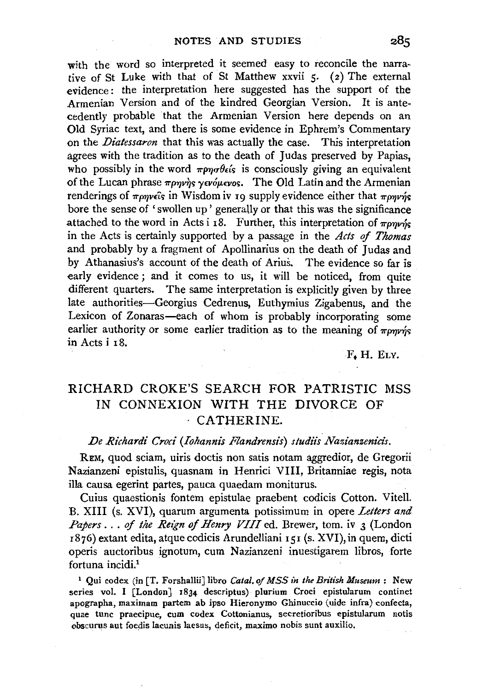with the word so interpreted it seemed easy to reconcile the narrative of St Luke with that of St Matthew xxvii 5. (2) The external evidence: the interpretation here suggested has the support of the Armenian Version and of the kindred Georgian Version. It is antecedently probable that the Armenian Version here depends on an Old Syriac text, and there is some evidence in Ephrem's Commentary on the *Diatessaron* that this was actually the case. This interpretation agrees with the tradition as to the death of Judas preserved by Papias, who possibly in the word  $\pi \rho \partial \epsilon \delta$  is consciously giving an equivalent of the Lucan phrase  $\pi\rho\eta\gamma\gamma_S \gamma_{\epsilon} \nu_0 \mu_{\epsilon} \nu_0$ . The Old Latin and the Armenian renderings of  $\pi\rho\gamma\gamma\epsilon_0$  in Wisdom iv 19 supply evidence either that  $\pi\rho\gamma\gamma\gamma\epsilon_0$ bore the sense of 'swollen up ' generally or that this was the significance attached to the word in Acts i r8. Further, this interpretation of  $\pi_{\rho\gamma\gamma\gamma\gamma}$ in the Acts is certainly supported by a passage in the *Acts* of *Thomas*  and probably by a fragment of Apollinarius on the death of Judas and by Athanasius's account of the death of Arius. The evidence so far is early evidence ; and it comes to us, it will be noticed, from quite different quarters. The same interpretation is explicitly given by three late authorities-Georgius Cedrenus, Euthymius Zigabenus, and the Lexicon of Zonaras-each of whom is probably incorporating some earlier authority or some earlier tradition as to the meaning of  $\pi\rho\eta\gamma\gamma\gamma$ in Acts i I8.

F. H. ELY.

## RICHARD CROKE'S SEARCH FOR PATRISTIC MSS IN CONNEXION WITH THE DIVORCE OF · CATHERINE.

## De Richardi Croci (Iohannis Flandrensis) studiis Nazianzenicis.

REM, quod sciam, uiris doctis non satis notam aggredior, de Gregorii Nazianzeni epistulis, quasnam in Henrici VIII, Britanniae regis, nota illa causa egerint partes, pauca quaedam moniturus.

Cuius quaestionis fontem epistulae praebent codicis Cotton. Vitell. B. XIII (s. XVI), quarum argumenta potissimum in opere *Letters and Papers ..* . *of the Reign of Henry VIII* ed. Brewer, tom. iv 3 (London <sup>I</sup>876) extant edita, atque codicis Arundelliani I 51 (s. XVI), in quem, dicti operis auctoribus ignotum, cum Nazianzeni inuestigarem libros, forte fortuna incidi.<sup>1</sup>

<sup>1</sup> Qui codex (in [T. Forshallii] libro *Catal. of MSS in the British Museum* : New series vol. I [London] 1834 descriptus) plurium Croci epistularum continet apographa, maximam partem ab ipso Hieronymo Ghinuccio (uide infra) confecta, quae tunc praecipue, cum codex Cottonianus, secretioribus epistularum notis obscurus aut foedis lacunis laesus, deficit, maximo nobis sunt auxilio.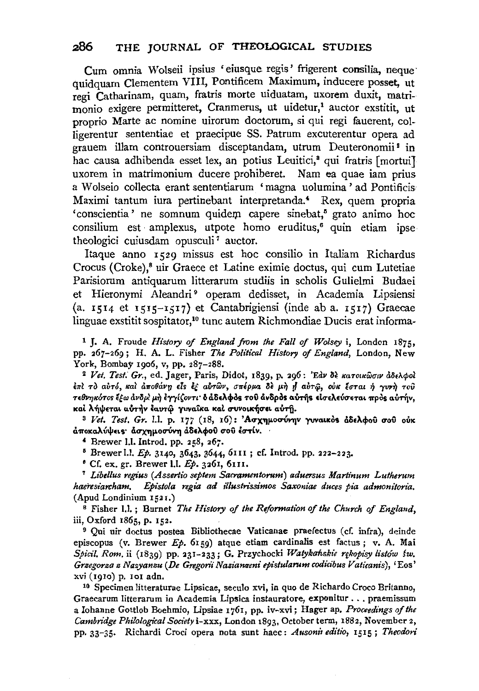Cum omnia Wolseii ipsius 'eiusque regis' frigerent consilia, neque · quidquam Clementem VIII, Pontificem Maximum, inducere posset, ut regi Catharinam, quam, fratris morte uiduatam, uxorem duxit, matrimonio exigere permitteret, Cranmerus, ut uidetur,<sup>1</sup> auctor exstitit, ut proprio Marte ac nomine uirorum doctorum, si qui regi fauerent, colligerentur sententiae et praecipue SS. Patrum excuterentur opera ad grauem illam controuersiam disceptandam, utrum Deuteronomii<sup>2</sup> in hac causa adhibenda esset lex, an potius Leuitici,<sup>3</sup> qui fratris [mortui] uxorem in matrimonium ducere prohiberet. Nam ea quae iam prius a W olseio collecta erant sententiarum 'magna uolumina ' ad Pontificis Maximi tantum iura pertinebant interpretanda.' Rex, quem propria 'conscientia' ne somnum quidem capere sinebat,<sup>5</sup> grato animo hoc consilium est amplexus, utpote homo eruditus,<sup>6</sup> quin etiam ipse theologici cuiusdam opusculi<sup>7</sup> auctor.

Itaque anno 1529 missus est hoc consilio in Italiam Richardus Crocus (Croke),<sup>8</sup> uir Graece et Latine eximie doctus, qui cum Lutetiae Parisiorum antiquarum litterarum studiis in scholis Gulielmi Budaei et Hieronymi Aleandri<sup>9</sup> operam dedisset, in Academia Lipsiensi (a. 1514 et 1515-1517) et Cantabrigiensi (inde ab a. 1517) Graecae linguae exstitit sospitator,<sup>10</sup> tunc autem Richmondiae Ducis erat informa-

1 J. A. Fronde *History of England from the Fall of Wolsey* i, London 1875, pp. 267-269; H. A. L. Fisher *The Political History of England,* London, New

<sup>2</sup> Vet. Test. Gr., ed. Jager, Paris, Didot, 1839, p. 296: 'Εαν δε κατοικῶσιν ἀδελφοί  $i$ πι το αυτό, και αποθάνη είς εξ αυτών, σπέρμα δε μη η αυτώ, ουκ έσται ή γυνη του Tεθνηκότος έξω ανδρί μη έγγίζοντι· δ άδελφος του ανδρος αυτής είσελεύσεται προς αυτήν, καί λήψεται αύτήν έαυτώ γυναΐκα καί συνοικήσει αύτη.

3 Vet. Test. Gr. l.l. p. 177 (18, 16): 'Ασχημοσύνην γυναικός άδελφού σου ούκ άποκαλύψεις· άσχημοσύνη άδελφού σου έστίν.

 $*$  Brewer I.I. Introd. pp. 258, 267.

<sup>5</sup> Brewer l.l. *Ep.* 3140, 3643, 3644, 6111 ; cf. Introd. pp. 222-223.

• Cf. ex. gr. Brewer 1.1. *Ep.* 326r, 61II. 7 *Libel/us regius (Asserlio septem Sacramentorum) aduersus Martinum Lutherum haeresiarr:ham. Epistola regia* ad *il/ustrissimos Saxoniae duces pia admonitoria.* 

(Apud Londinium 1521.)<br><sup>8</sup> Fisher 1.1. ; Burnet *The History of the Reformation of the Church of England*, <br>iii, Oxford 1865, p. 152.

<sup>9</sup> Qui uir doctus postea Bibliothecae Vaticanae praefectus (cf. infra), deinde episcopus (v. Brewer *Ep.* 6159) atque etiam cardinalis est factus; v. A. Mai *Spicil. Rom.* ii (1839) pp. 231-233; G. Przychocki Watykańskie rękopisy listów św. *Grsegorza s Nazyanzu (De Gregoni" Naziameni epistularum codicibus Vaticanis),* 'Eos' xvi (1910) p. 101 adn.

10 Specimen Jitteraturae Lipsicae, seculo xvi, in quo de Richardo Croco Britanno, Graecarum litterarum in Academia Lipsica instauratore, exponitur ... praemissum a lohanne Gottlob Boehmio, Lipsiae 1761, pp. iv-xvi; Hager ap. *Proceedings of the Cambnage Philological Society* i-xxx, London 1893, October term, 1882, November 2, pp. 33-35. Richardi Croci opera nota sunt haec: *Ausonil editio,* 1515; *Theodori*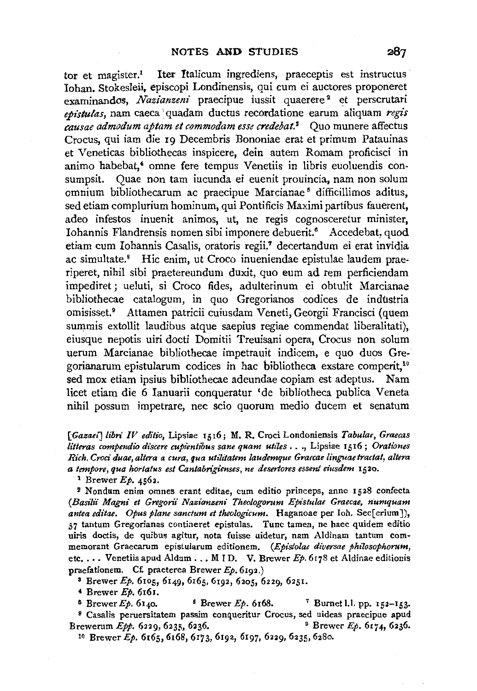tor et magister.<sup>1</sup> Iter Italicum ingrediens, praeceptis est instructus Iohan. Stokesleii. episcopi Londinensis, qui cum ei auctores proponeret examinandos, *Nazianzeni* praecipue iussit quaerere<sup>2</sup> et perscrutari  $e$ *pistulas*, nam caeca quadam ductus recordatione earum aliquam *regis causae admodum aptam etcommodam esse credebat.8* Quo munere affectus Crocus, qui iam die 19 Decembris Bononiae erat et primum Patauinas et Veneticas bibliothecas inspicere, dein autem Romam proficisci in animo habebat,' omne fere tempus Venetiis in libris euoluendis consumpsit. Quae non tam iucunda ei euenit prouincia, nam non solum omnium bibliothecarum ac praecipue Marcianae 5 difficillimos aditus, sed etiam complurium hominum, qui Pontificis Maximi partibus fauerent, adeo infestos inuenit animos, ut, ne regis cognosceretur minister, Iohannis Flandrensis nomen sibi imponere debuerit.<sup>6</sup> Accedebat, quod etiam cum Iohannis Casalis, oratoris regii,7 decertandum ei erat invidia ac simultate.8 Hie enim, ut Croco inueniendae epistulae laudem praeriperet, nihil sibi praetereundum duxit, quo eum ad rem perficiendam impediret; ueluti, si Croco fides, adulterinum ei obtulit Marcianae bibliothecae catalogum, in quo Gregorianos codices de industria omisisset.9 Attamen patricii cuiusdam Veneti, Georgii Francisci (quem summis extollit laudibus atque saepius regiae commendat liberalitati), eiusque nepotis uiri docti Domitii Treuisani opera, Crocus non solum uerum Marcianae bibliothecae impetrauit indicem, e quo duos Gregorianarum epistularum codices in hac bibliotheca exstare comperit, 10 sed mox etiam ipsius bibliothecae adeundae copiam est adeptus. Nam licet etiam die 6 Ianuarii conqueratur 'de bibliotheca publica Veneta nihil possum impetrare, nee scio quorum medio ducem et senatum

*[Gazaet]libn' IV editio,* Lipsiae 1516; M. R. Croci Londoniensis *Tabulae, Graecas litteras compendia discere cupientibus sane quam utiles ..* • , Lipsiae 1516; *Orationes Rich. Croci duae, altera a cura, qua util#atem laudemque Graecae linguae tractat, altera a tempore, qua hortatus est Cantabrigienses, ne desertores essent dusdem* 1520. 1 Brewer *Ep.* 4562.

<sup>2</sup>Nondum enim omnes erant editae, cum editio princeps, anna 1528 confecta (Basilii Magni et Gregorii Nazianzeni Theologorum Epistulae Graecae, numquam antea editae. Opus plane sanctum et theologicum. Haganoae per Ioh. Sec[erium]), 57 tantum Gregorianas contineret epistulas. Tunc tamen, ne haec quidem editio uiris doctis, de quibus agitur, nota fuisse uidetur, nam Aldinam tantum commemorant Graecarum epistularum editionem. *(Epistolae diversae philosophorum,*  etc. . . . Venetiis apud Aldum . . . MID. V. Brewer  $Ep$ . 6178 et Aldinae editionis praefationem. Cf. praeterea Brewer  $Ep$ . 6192.)

<sup>3</sup> Brewer *Ep.* 6105, 6149, 6165, 6192, 6205, 6229, 6251.

' Brewer *Ep.* 6161.

 $5$  Brewer *Ep.* 6140.  $6$  Brewer *Ep.* 6168. <sup>7</sup> Burnet 1.1. pp. 152-153. <sup>8</sup> Casalis peruersitatem passim conqueritur Crocus, sed uideas praecipue apud Brewerum *Epp.* 6229, 6235, 6236. 9 Brewer *Ep.* 6174, 6236.

10 Brewer *Ep.* 6165,6168, 6173, 6192, 6197, 6229, 6235, 6280.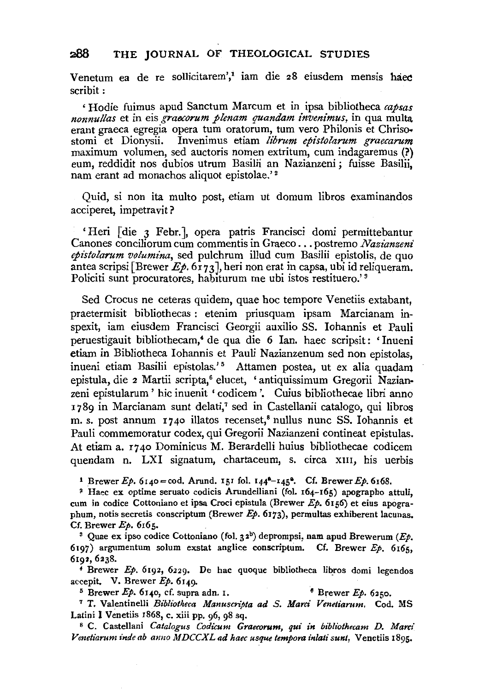Venetum ea de re sollicitarem',<sup>1</sup> iam die 28 eiusdem mensis haec scribit:

' Hodie fuimus apud Sanctum Marcum et in ipsa bibliotheca *capsas nonnullas* et in eis *graccorum plenam quandam invenimus,* in qua multa erant graeca egregia opera tum oratorum, tum vero Philonis et Chriso. stomi et Dionysii. Invenimus etiam librum epistolarum graecarum maximum volumen, sed auctoris nomen extritum, cum indagaremus (?) eum, reddidit nos dubios utrum Basilii an Nazianzeni; fuisse Basilii, nam erant ad monachos aliquot epistolae.'<sup>2</sup>

Quid, si non ita multo post, etiam ut domum libros examinandos acciperet, impetravit?

'Heri [die 3 Febr. ], opera patris Francisci domi permittebantur Canones conciliorum cum commentis in Graeco ... postremo *Nazianzeni epistolarum volumina,* sed pulchrum illud cum Basilii epistolis, de quo antea scripsi [Brewer  $E_p$ . 6173], heri non erat in capsa, ubi id reliqueram. Policiti sunt procuratores, habiturum me ubi istos restituero.'<sup>3</sup>

Sed Crocus ne ceteras quidem, quae hoc tempore Venetiis extabant, praetermisit bibliothecas : etenim priusquam ipsam Marcianam inspexit, iam eiusdem Francisci Georgii auxilio SS. lohannis et Pauli peruestigauit bibliothecam,<sup>4</sup> de qua die 6 Ian. haec scripsit: 'Inueni etiam in Bibliotheca Iohannis et Pauli Nazianzenum sed non epistolas, inueni etiam Basilii epistolas.'<sup>5</sup> Attamen postea, ut ex alia quadam epistula, die 2 Martii scripta,<sup>6</sup> elucet, 'antiquissimum Gregorii Nazianzeni epistularum ' hie inuenit ' codicem '. Cuius bibliothecae libri anno 1789 in Marcianam sunt delati,<sup>7</sup> sed in Castellanii catalogo, qui libros m. s. post annum  $r_7$ 40 illatos recenset,<sup>8</sup> nullus nunc SS. Iohannis et Pauli commemoratur codex, qui Gregorii Nazianzeni contineat epistulas. At etiam a. r 7 40 Dominicus M. Berardelli huius bibliothecae codicem quendam n. LXI signatum, chartaceum, s. circa xIII, his uerbis

<sup>1</sup> Brewer  $Ep. 6140 = cod.$  Arund. 151 fol.  $144^{a}-145^{a}$ . Cf. Brewer  $Ep. 6168$ .

<sup>~</sup>Haec ex optime seruato codicis Arundelliani (fol. 164-165) apographa attuli, cum in codice Cottoniano et ipsa Croci epistula (Brewer Ep. 6156) et eius apographum, notis secretis conscriptum (Brewer  $Ep.$  6173), permultas exhiberent lacunas. Cf. Brewer  $Ep.$  6165.<br><sup>3</sup> Quae ex ipso codice Cottoniano (fol. 32<sup>b</sup>) deprompsi, nam apud Brewerum (*Ep.* 

6197) argumentum solum exstat anglice conscriptum. Cf. Brewer  $Ep.$  6165, 6192, 6238.<br>4 Brewer Ep. 6192, 6229. De hac quoque bibliotheca libros domi legendos

accepit. V. Brewer Ep. 6149.<br><sup>5</sup> Brewer Ep. 6140, cf. supra adn. 1. **6**Brewer Ep. 6250.<br><sup>7</sup> T. Valentinelli *Bibliotheca Manuscripta ad S. Marci Venetiarum.* Cod. MS

Latini I Venetiis 1868, c. xiii pp. 96, 98 sq. 8 C. Castellani *Catalogus Codicum Graecorum, qui in bibliothecam D. Marci* 

Venetiarum inde ab anno MDCCXL ad haec usque tempora inlati sunt, Venetiis 1895.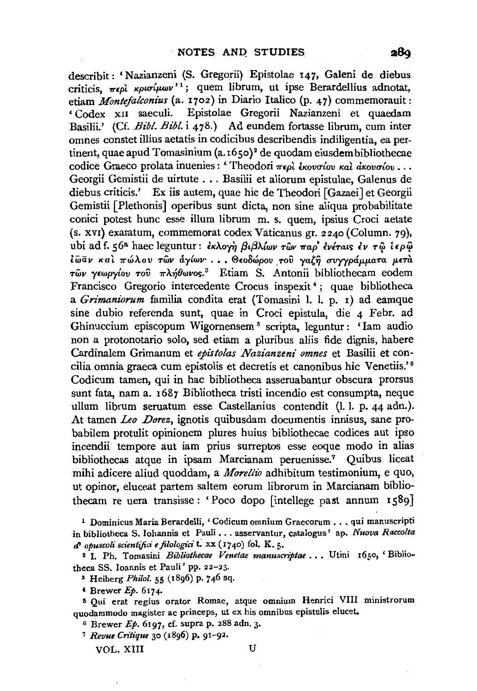describit: 'Nazianzeni (S. Gregorii) Epistolae 147, Galeni de diebus criticis,  $\pi \epsilon \rho \hat{i}$  *Kpw* $(\mu \omega \nu')^1$ ; quem librum, ut ipse Berardellius adnotat, etiam *Montefalconius* (a. 1702) in Diario Italico (p. 47) commemorauit: 'Codex xn saeculi. Epistolae Gregorii Nazianzeni et quaedam Basilii.' (Cf. *Bibl. Bibl.* i 478.) Ad eundem fortasse librum, cum inter omnes constet illius aetatis in codicibus describendis indiligentia, ea pertinent, quae apud Tomasinium (a. 1650)<sup>2</sup> de quodam eiusdem bibliothecae codice Graeco prolata inuenies : 'Theodori περί έκονσίου και ακονσίου ... Georgii Gemistii de uirtute ... Basilii et aliorum epistulae, Galenus de diebus criticis.' Ex iis autem, quae hie de Theodori [Gazaei] et Georgii Gemistii [Plethonis] operibus sunt dicta, non sine aliqua probabilitate conici potest hunc esse ilium librum m. s. quem, ipsius Croci aetate (s. xv1) exaratum, commemorat codex Vaticanus gr. 2240 (Column. 79), ubi ad f. 56<sup>a</sup> haec leguntur: εκλογή βιβλίων των παρ' ενέταις εν τώ ιερώ *l*ωαν και πώλου των άγίων ... Θεοδώρου του γαζή συγγράμματα μετά *των γεωργίου του πλήθωνος.*<sup>3</sup> Etiam S. Antonii bibliothecam eodem Francisco Gregorio intercedente Crocus inspexit 4 ; quae bibliotheca a *Grimaniorum* familia condita erat (Tomasini 1. 1. p. 1) ad eamque sine dubio referenda sunt, quae in Croci epistula, die 4 Febr. ad Ghinuccium episcopum Wigornensem 5 scripta, leguntur : 'lam audio non a protonotario solo, sed etiam a pluribus aliis fide dignis, habere Cardinalem Grimanum et *epistolas Nazianzeni omnes* et Basilii et concilia omnia graeca cum epistolis et decretis et canonibus hic Venetiis.'<sup>6</sup> Codicum tamen, qui in hac bibliotheca asseruabantur obscura prorsus sunt fata, nama. 1687 Bibliotheca tristi incendio est consumpta, neque ullum librum seruatum esse Castellanius contendit (1.1. p. 44 adn.). At tamen *Leo .Dorez,* ignotis quibusdam documentis innisus, sane probabilem protulit opinionem plures huius bibliothecae codices aut ipso incendii tempore aut iam prius surreptos esse eoque modo in alias bibliothecas atque in ipsam Marcianam peruenisse.7 Quibus liceat mihi adicere aliud quoddam, a *Morellio* adhibitum testimonium, e quo, ut opinor, eluceat partem saltern eorum librorum in Marcianam bibliothecam re uera transisse: 'Poco dopo [intellege past annum 1589]

<sup>2</sup> I. Ph. Tomasini *Bibliothecae Venetae manuscriptae* ... Utini 1650, 'Bibliotheca SS. Ioannis et Pauli' pp. 22-23.

• Heiberg *Philo/.* 55 (1896) p. 746 sq.

 $4$  Brewer  $Ep. 6174$ .

5 Qui erat regius orator Romae, atque omnium Henrici VIII ministrorum quodammodo magister ac princeps, ut ex his omnibus epistulis elucet.

 $6$  Brewer  $Ep.$  6197, cf. supra p. 288 adn. 3.

<sup>7</sup>*Revue Critique* 30 (1896) p. 91-92.

VOL. XIII U

289

<sup>1</sup> Dominicus Maria Berardelli, ' Codicum omnium Graecorum ••. qui manuscripti in bibliotheca S. Iohannis et Pauli ... asservantur, catalogus' ap. *Nuova Raccolta*  d' *opuscoli sct'entijici efilologict'* t: xx (1740) fol. K. 5·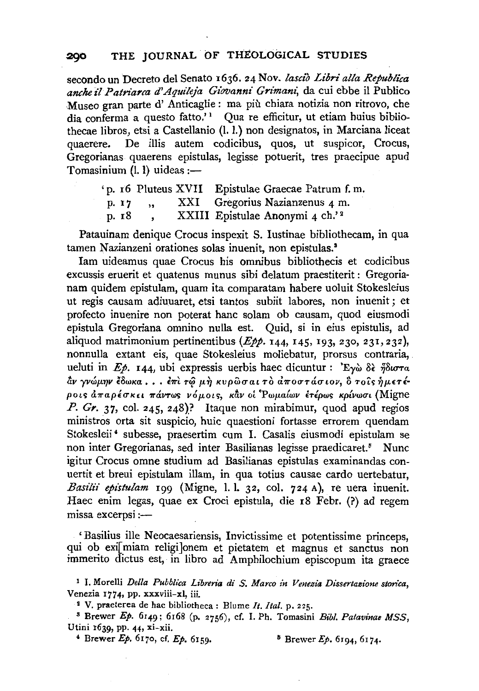secondo un Decreto del Senato 1636. 24 Nov. *lasdo Libri alia Republica*  anche il Patriarca d'Aquileja Giovanni Grimani, da cui ebbe il Publico Museo gran parte d' Anticaglie : ma più chiara notizia non ritrovo, che dia conferma a questo fatto.'<sup>1</sup> Qua re efficitur, ut etiam huius bibliothecae libros, etsi a Castellanio (1. 1.) non designatos, in Marciana liceat quaerere. De illis autem codicibus, quos, ut suspicor, Crocus, Gregorianas quaerens epistulas, legisse potuerit, tres praecipue apud Tomasinium  $(l, l)$  uideas :-

|       |       |  | 'p. 16 Pluteus XVII Epistulae Graecae Patrum f.m. |
|-------|-------|--|---------------------------------------------------|
|       | p. 17 |  | XXI Gregorius Nazianzenus 4 m.                    |
| р. 18 |       |  | XXIII Epistulae Anonymi 4 ch.' <sup>2</sup>       |

Patauinam denique Crocus inspexit S. Iustinae bibliothecam, in qua tamen Nazianzeni orationes solas inuenit, non epistulas.'

lam uideamus quae Crocus his omnibus bibliothecis et codicibus excussis eruerit et quatenus munus sibi delatum praestiterit : Gregorianam quidem epistulam, quam ita comparatam habere uoluit Stokesleius ut regis causam adiuuaret, etsi tantos subiit labores, non inuenit ; et profecto inuenire non poterat bane solam ob causam, quod eiusmodi epistula Gregoriana omnino nulla est. Quid, si in eius epistulis, ad aliquod matrimonium pertinentibus *(Epp.* 144, 145, 193, 230, 231, 232), nonnulla extant eis, quae Stokesleius moliebatur, prorsus contraria, ueluti in *Ep.* 144, ubi expressis uerbis haec dicuntur : 'Eywo  $\delta \epsilon$   $\eta \delta \omega \tau a$  $\frac{\partial u}{\partial y}$ γνώμην έδωκα *•* • *· · επι τώ μη κυρ*ώσαι το αποστάσιον, δ τοίς ημετέ- $\rho$ οις άπαρέσκει πάντως νόμοις, κάν οί Ρωμαίων έτέρως κρίνωσι (Migne *P. Gr.* 37, col. 245, 248)? Itaque non mirabimur, quod apud regios ministros orta sit suspicio, huic quaestioni fortasse errorem quendam Stokesleii<sup>4</sup> subesse, praesertim cum I. Casalis eiusmodi epistulam se non inter Gregorianas, sed inter Basilianas legisse praedicaret.<sup>5</sup> Nunc igitur Crocus omne studium ad Basilianas epistulas examinandas conuertit et breui epistulam illam, in qua totius causae cardo uertebatur, *Basilii epistulam* 199 (Migne, 1. I. 32, col. 724 A}, re uera inuenit. Haec enim legas, quae ex Croci epistula, die 18 Febr. (?) ad regem missa excerpsi :--

' Basilius ille Neocaesariensis, Invictissime et potentissime princeps, qui ob exi[ miam religi]onem et pietatem et magnus et sanctus non immerito dictus est, in libro ad Amphilochium episcopum ita graece

1 I. Morelli *Della Pubblt'ca Libreria di S. Marco in Venezia Dissertazione storica,* 

<sup>2</sup> V. praeterea de hac bibliotheca: Blume *It. Ital.* p. 225.<br><sup>3</sup> Brewer *Ep.* 6149; 6168 (p. 2756), cf. I. Ph. Tomasini *Bibl. Patavinae MSS*, Utini 1639, pp. 44, xi-xii.

<sup>4</sup>Brewer *Ep.* 6170, cf. *Ep.* 6159. 5 Brewer *Ep.* 6194, 6174.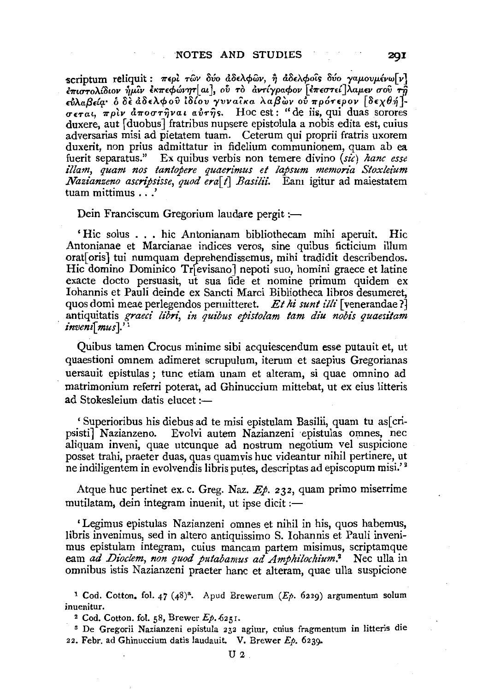scriptum reliquit : περί των δύο άδελφων, ή άδελφοΐς δύο γαμουμένω[ν]  $\frac{1}{2}$  *έπιστολίδιον ήμιν εκπεφώνητ* | aι <sup>1</sup>, ού τὸ ἀντίγραφον [επεστεί ]λαμεν σου τῆ  $\epsilon$ ύλαβεία· ο δε άδελφου ιδίου γυνα**ίκα λαβών ού πρότερον** [δεχθή]-*U£Tat, 1rplv* &.1rouT~vat *aflT-ijs.* Hoc est: "de iii;, qui duas sorores duxere, aut [duobus] fratribus nupsere epistolula a nobis edita est, cuius adversarias misi ad pietatem tuam. Ceterum qui proprii fratris uxorem duxerit, non prius admittatur in fidelium communionem, quam ab ea fuerit separatus." Ex quibus verbis non temere divino  $(x\hat{i})$  hanc esse illam, quam nos tantopere quaerimus et lapsum memoria Stoxleium *Nazianzeno ascripsisse, quod era[t] Basilii.* Eam igitur ad maiestatem tuam mittimus . . .'

Dein Franciscum Gregorium laudare pergit :-

' Hie solus . . . hie Antonianam bibliothecam mihi aperuit. Hie Antonianae et Marcianae indices veros, sine quibus ficticium ilium orat[ oris] tui numquam deprehendissemus, mihi tradidit describendos. Hic domino Dominico Tr[ evisano] nepoti suo, homini graece et latine exacte docto persuasit, ut sua fide et nomine primum quidem ex lohannis et Pauli deinde ex Sancti Marci Bibliotheca libros desumeret, quos domi meae perlegendos permitteret. *Et hi sunt illi* [ venerandae ?] antiquitatis *graeci libri, in quibus epistolam tam diu nobis quaesitam invemi mus* ].' 1

Quibus tamen Crocus minime sibi acquiescendum esse putauit et, ut quaestioni omnem adimeret scrupulum, iterum et saepius Gregorianas uersauit epistulas; tunc etiam unam et alteram, si quae omnino ad matrimonium referri poterat, ad Ghinuccium mittebat, ut ex eius litteris ad Stokesleium datis elucet $:=$ 

' Superioribus his diebus ad te misi epistulam Basilii, quam tu as[cripsisti] Nazianzeno. Evolvi autem Nazianzeni epistulas omnes, nec aliquam inveni, quae utcunque ad nostrum negotium vel suspicione posset trahi, praeter duas, quas quam vis hue videantur nihil pertinere, ut ne indiligentem in evolvendis libris putes, descriptas ad episcopum misi.' 2

Atque hue pertinet ex. c. Greg. Naz. *Ep.* 232, quam primo miserrime mutilatam, dein integram inuenit, ut ipse dicit : $-$ 

' Legimus epistulas Nazianzeni omnes et nihil in his, quos habemus, libris invenimus, sed in altero antiquissimo S. Iohannis et Pauli invenimus epistulam integram, cuius mancam partem misimus, scriptamque eam *ad Dioclem, non quod putabamus ad Amphilochium*.<sup>2</sup> Nec ulla in omnibus istis Nazianzeni praeter bane et alteram, quae ulla suspicione

<sup>1</sup> Cod. Cotton. fol. 47 (48)<sup>8</sup>. Apud Brewerum ( $E_p$ . 6229) argumentum solum inuenitur.

2 Cod. Cotton. fol. 58, Brewer Ep . *.6251.* 

s De Gregorii Nazianzeni epistula 232 agitur, cuius fragmentum in litteris die 22. Febr. ad Ghinuccium datis laudauit. V. Brewer  $Ep.$  6239.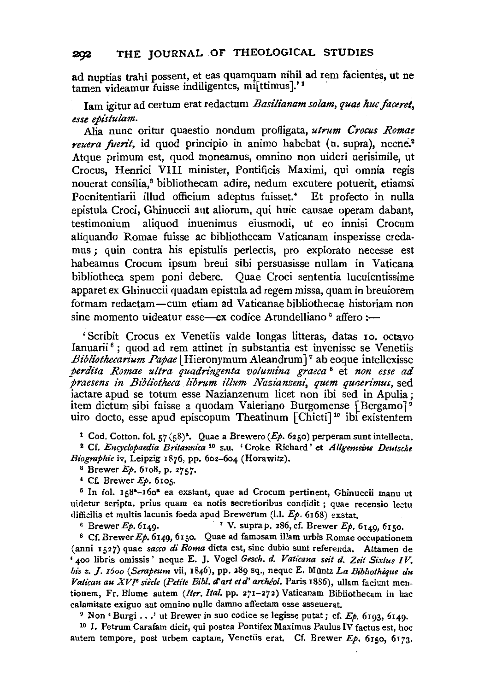ad nuptias trahi possent, et eas quamquam nihil ad rem facientes, ut ne tamen videamur fuisse indiligentes, mi[ttimus].'1

lam igitur ad certum erat redactum *Basilianam solam, quae kuc faceret, esse epistulam.* 

Alia nunc oritur quaestio nondum profligata, *utrum Crocus Romae reuera fuerit*, id quod principio in animo habebat (u. supra), necne.<sup>2</sup> Atque primum est, quod moneamus, omnino non uideri uerisimile, ut Crocus, Henrici VIII minister, Pontificis Maximi, qui omnia regis nouerat consilia,8 bibliothecam adire, nedum excutere potuerit, etiamsi Poenitentiarii illud officium adeptus fuisset.<sup>4</sup> Et profecto in nulla epistula Croci, Ghinuccii aut aliorum, qui huic causae operam dabant, testimonium aliquod inuenimus eiusmodi, ut eo innisi Crocum aliquando Romae fuisse ac bibliothecam Vaticanam inspexisse credamus ; quin contra his epistulis perlectis, pro explorato necesse est habeamus Crocum ipsum breui sibi persuasisse nullam in Vaticana bibliotheca spem poni debere. Quae Croci sententia luculentissime apparet ex Ghinuccii quadam epistula ad regem missa, quam in breuiorem formam redactam-cum etiam ad Vaticanae bibliothecae historiam non sine momento uideatur esse—ex codice Arundelliano <sup>5</sup> affero :—

' Scribit Crocus ex Venetiis valde longas litteras, datas 10. octavo Ianuarii<sup> $6$ </sup>; quod ad rem attinet in substantia est invenisse se Venetiis *Bibliotkecarium Papae* l Hieronymum Aleandrum] 7 ab eoque intellexisse *perdita Romae ultra quadringenta volumina graeca* 8 et *non esse ad praesens in Bibliotheca librum illum Nazianzeni, quem quaerimus, sed* iactare apud se totum esse Nazianzenum licet non ibi sed in Apulia; item dictum sibi fuisse a quodam Valeriano Burgomense [Bergamo] 9 uiro docto, esse apud episcopum Theatinum  $|Chieti|^{10}$  ibi existentem

<sup>1</sup> Cod. Cotton. fol.  $57 (58)^a$ . Quae a Brewero (*Ep.* 6250) perperam sunt intellecta.

2 Cf. *Encyclopaedia Britannica* 10 s.u. 'Croke Richard' et *Allgemeine Deutsche Biographie* iv, Leipzig 1876, pp. 602-604 (Horawitz).

s Brewer *Ep.* 6to8, p. 2757·

4 Cf. Brewer *Ep.* 6105. 5 In fol. 158"-16o• ea exstant, quae ad Crocum pertinent, Ghinuccii manu ut uidetur scripta, prius quam ea notis secretioribus condidit ; quae recensio lectu difficilis et multis lacunis foeda apud Brewerum (1.1. *Ep.* 6168) exstat.

6 Brewer Ep. 6149. 7 V. supra p. 286, cf. Brewer Ep. 6149, 6150. 8 Cf. Brewer *Ep.* 6149,6150. Quae ad famosam illam urbis Romae occupationem

(anni 1527) quae *sacco di Roma* dicta est, sine dubio sunt referenda. Attamen de '400 libris omissis' neque E. J. Vogel *Gesch. d. Vaticana seit d. Zeit Sixtus IV. his z.* J. *r6oo (Serapeum* vii, 1846), pp. 389 sq., neque E. Muntz *La Bibltotheque du*  Vatican au XVI<sup>e</sup> siècle (Petite Bibl. d'art et d'archéol. Paris 1886), ullam faciunt mentionem, Fr. Blume autem *(Iter. !tal.* pp. 271-272) Vaticanam Bibliothecam in hac calamitate exiguo aut omnino nullo damno affectam esse asseuerat.<br><sup>9</sup> Non ' Burgi ...' ut Brewer in suo codice se legisse putat; cf. *Ep*. 6193, 6149.

<sup>10</sup> I. Petrum Carafam dicit, qui postea Pontifex Maximus Paulus IV factus est, hoc autem tempore, post urbem captam, Venetiis erat. Cf. Brewer Ep. 6150, 6173.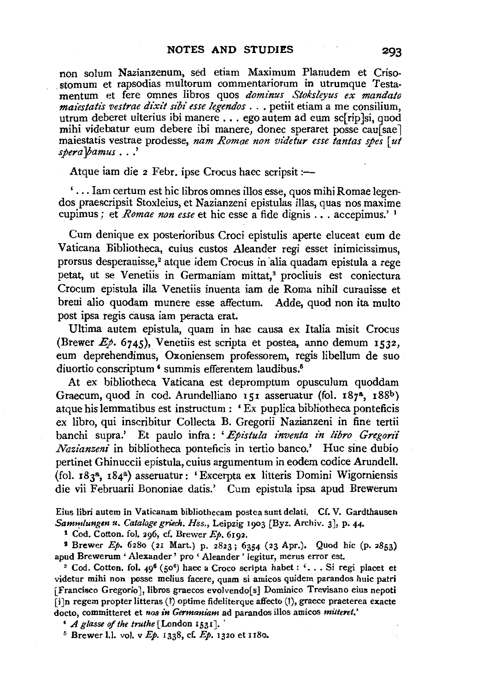non solum Nazianzenum, sed etiam Maximum Planudem et Criso-<br>stomum et rapsodias multorum commentariorum in utrumque Testamentum et fere omnes libros quos *dominus Stoksleyus ex mandato mai'estatis vestrae dixit sibi esse legendos* . - . petiit etiam a me consilium, utrum de beret ulterius ibi manere ... ego autem ad eum sc[rip ]si, quod mihi videbatur eum debere ibi manere, donec speraret posse caussae maiestatis vestrae prodesse, *nam Romae non vide fur esse tantas spes* [ *ut spera ]bamus* . . .'

Atque iam die 2 Febr. ipse Crocus haec scripsit :-

' ... lam certum est hie libros omnes illos esse, quos mihiRomae legendos praescripsit Stoxleius, et Nazianzeni epistulas illas, quas nos maxime cupimus ; et *Romae non esse* et hie esse a fide dignis ... accepimus.' 1

Cum denique ex posterioribus Croci epistulis aperte eluceat eum de Vaticana Bibliotheca, cuius custos Aleander regi esset inimicissimus, prorsus desperauisse,<sup>2</sup> atque idem Crocus in alia quadam epistula a rege petat, ut se Venetiis in Germaniam mittat,<sup>3</sup> procliuis est coniectura Crocum epistula illa Venetiis inuenta iam de Roma nihil curauisse et breui alio quodam munere esse affectum. Adde, quod non ita multo post ipsa regis causa iam peracta erat.

Ultima autem epistula, quam in hac causa ex ltalia misit Crocus (Brewer *Ep.* 6745), Venetiis est scripta et postea, anno demum 1532, eum deprehendimus, Oxoniensem professorem, regis libellum de suo diuortio conscriptum <sup>4</sup> summis efferentem laudibus.<sup>6</sup>

At ex bibliotheca Vaticana est depromptum opusculum quoddam Graecum, quod in cod. Arundelliano 151 asseruatur (fol. 187<sup>8</sup>, 188<sup>b</sup>) atque his lemmatibus est instructum : ' Ex puplica bibliotheca ponteficis ex libro, qui inscribitur Collecta B. Gregorii Nazianzeni in fine tertii banchi supra.' Et paulo infra : 'Epistula inventa in libro Gregorii *Nazianzeni* in bibliotheca ponteficis in tertio banco.' Hue sine dubio pertinet Ghinuccii epistula, cuius argumentum in eodem codice Arundell. (fol. r83a, 184a) asseruatur: 'Excerpta ex litteris Domini Wigorniensis die vii Februarii Bononiae datis.' Cum epistula ipsa apud Brewerum

Eius libri autem in Vaticanam bibliothecam postea sunt delati. Cf. V. Gardthausen Sammlungen u. Cataloge griech. Hss., Leipzig 1903 [Byz. Archiv. 3], p. 44.

**<sup>1</sup>**Cod. Cotton. fol. 296, cf. Brewer Ep. 6192.

<sup>2</sup> Brewer Ep. 6280 (21 Mart.) p. 2823; 6354 (23 Apr.). Quod hic (p. 2853) apud Brewerum ' Alexander' pro ' Aleander ' legitur, merus error est.<br><sup>3</sup> Cod. Cotton. fol. 49<sup>6</sup> (50<sup>6</sup>) haec a Croco scripta habet : '... Si regi placet et

videtur mihi non posse melius facere, quam si amicos quidem parandos huic patri [Francisco Gregorio], libros graecos evolvendo[s) Dominica Trevisano eius nepoti [i]n regem propter litteras (!) optime fideliterque affecto (!), graece praeterea exacte docto, committeret et nos in Germaniam ad parandos illos amicos mitteret.

<sup>4</sup> *A glasse of the truthe* [London 1531].<br><sup>5</sup> Brewer 1.1. vol. v  $Ep$ . 1338, cf.  $Ep$ . 1320 et 1180.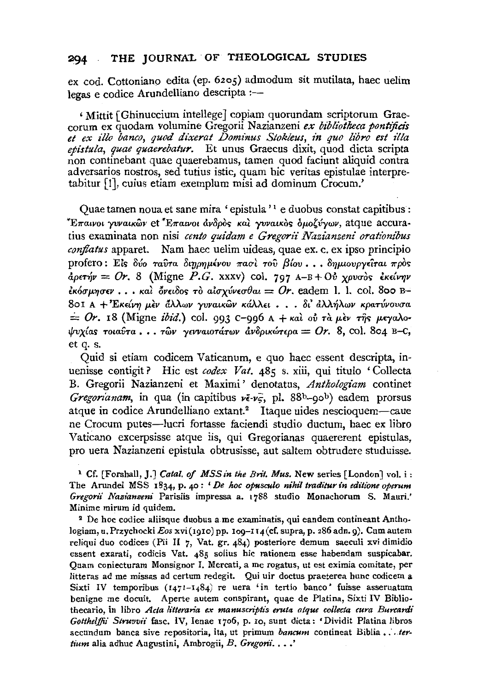## 294 THE JOURNAL OF THEOLOGICAL STUDIES

ex cod. Cottoniano edita (ep. 62o5) admodum sit mutilata, haec uelim legas e codice Arundelliano descripta :-

' Mittit [Ghinuccium intellege] copiam quorundam scriptorum Grae- corum ex quodam volumine Gregorii Nazianzeni *ex bibliotkeca pontijici's*  et ex illo banco, quod dixerat Dominus Stokleus, in quo libro est illa *epistula, quae quaerebalur.* Et unus Graecus dixit, quod dicta scripta non continebant quae quaerebamus, tamen quod faciunt aliquid contra adversarios nostros, sed tutius istic, quam hie veritas epistulae interpretabitur [!], cuius etiam exemplum misi ad dominum Crocum.'

Quae tamen noua et sane mira ' epistula '<sup>1</sup> e duobus constat capitibus : <sup>\*</sup>Επαινοι γυναικῶν et <sup>\*</sup>Επαινοι ἀνδρὸς καὶ γυναικὸς ὁμοζύγων, atque accuratius examinata non nisi *cento quidam e Gregorii Nazianzeni orationibus conjlatus* apparet. Nam haec uelim uideas, quae ex. c. ex ipso principia profero: Είς δύο ταύτα διηρημένου πασί του βίου...δημιουργείται πρός apET~v = *Or.* 8 (Migne *P.G.* xxxv) col. 797 A-B + *Ov XPvuoc; £KdV1Jv £K60'p.1JO'EV* ••• *Kal 6vEt8oc;* To *alO'xvvEuOat* = *Or.* eadem 1. 1. col. 8oo B-801 A + Έκείνη μεν άλλων γυναικών κάλλει . . . δι' άλλήλων κρατύνουσα<br>= *Or.* 18 (Migne *ibid.*) col. 993 c-996 A + και ου τα μεν της μεγαλο*ψυχίας τοιαύτα ... των γενναιοτάτων ανδρικώτερα = Or. 8, col. 804 B-C,* et q. s.

Quid si etiam codicem Vaticanum, e quo haec essent descripta, inuenisse contigit? Hic est *codex Vat.* 485 s. xiii, qui titulo 'Collecta B. Gregorii Nazianzeni et Maximi' denotatus, *Anthologiam* continet *Gregorianam*, in qua (in capitibus  $v\bar{\epsilon}\text{-}v_5$ , pl. 88b-90b) eadem prorsus atque in codice Arundelliano extant.<sup>2</sup> Itaque uides nescioquem-caue ne Crocum putes-lucri fortasse faciendi studio ductum, haec ex libro Vaticano excerpsisse atque iis, qui Gregorianas quaererent epistulas, pro uera Nazianzeni epistula obtrusisse, aut saltern obtrudere studuisse.

1 Cf. [Forshall, J.J *Catal. of MSSin the Brit. Mus.* New series [London] vol. i: The Arundel MSS 1834, p. 40: *'De hoc opusculo nihil traditur in editione operum Gregorii Nazianzeni* Parisiis impressa a. 1788 studio Monachorum S. Mauri.' Minime mirum id quidem.

2 De hoc codice aliisque duobus a me examinatis, qui eandem contineant Anthologiam, u. Przychocki *Eos* xvi(1910) pp. 109-114 (cf. supra, p. 286 adn. 9). Cum autem reliqui duo codices (Pii II 7, Vat. gr. 484) posteriore demum saeculi xvi dimidio essent exarati, codicis Vat. 485 solius hie rationem esse habendam suspicabar. Quam coniecturam Monsignor I. Mercati, a me rogatus, ut est eximia comitate, per litteras ad me missas ad certum redegit. Qui uir doctus praeterea hunc codicem a Sixti IV temporibus (1471-1484) re uera 'in tertio banco' fuisse asseruatum benigne me docuit. Aperte autem conspirant, quae de Platina, Sixti IV Biblio· thecario, in libro *Acta litteraria ex manuscriptis eruta atque collecta cura Burcardi Gotthelffii Struvvii* fasc. IV, Ienae 1706, p. xo, sunt dicta: 'Dividit Platina libros secundum banca sive repositoria, ita, ut primum *bancum* contineat Biblia • *:. tertium* alia adhuc Augustini, Ambrogii, *B. Gregorii.* . . .'